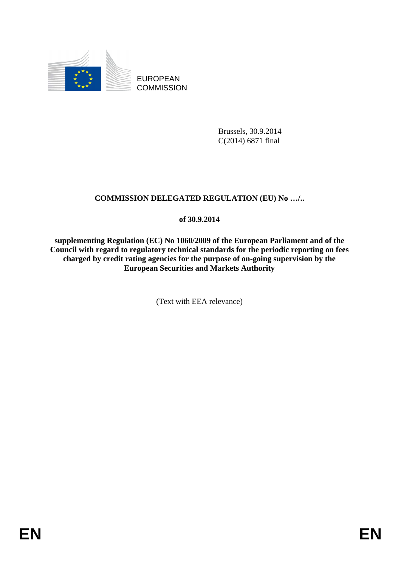

EUROPEAN **COMMISSION** 

> Brussels, 30.9.2014 C(2014) 6871 final

# **COMMISSION DELEGATED REGULATION (EU) No …/..**

# **of 30.9.2014**

**supplementing Regulation (EC) No 1060/2009 of the European Parliament and of the Council with regard to regulatory technical standards for the periodic reporting on fees charged by credit rating agencies for the purpose of on-going supervision by the European Securities and Markets Authority** 

(Text with EEA relevance)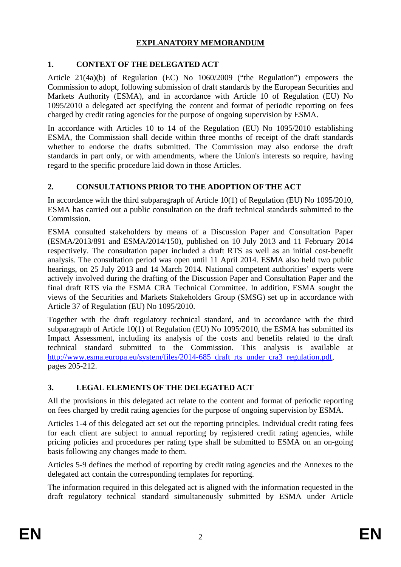## **EXPLANATORY MEMORANDUM**

# **1. CONTEXT OF THE DELEGATED ACT**

Article 21(4a)(b) of Regulation (EC) No 1060/2009 ("the Regulation") empowers the Commission to adopt, following submission of draft standards by the European Securities and Markets Authority (ESMA), and in accordance with Article 10 of Regulation (EU) No 1095/2010 a delegated act specifying the content and format of periodic reporting on fees charged by credit rating agencies for the purpose of ongoing supervision by ESMA.

In accordance with Articles 10 to 14 of the Regulation (EU) No 1095/2010 establishing ESMA, the Commission shall decide within three months of receipt of the draft standards whether to endorse the drafts submitted. The Commission may also endorse the draft standards in part only, or with amendments, where the Union's interests so require, having regard to the specific procedure laid down in those Articles.

# **2. CONSULTATIONS PRIOR TO THE ADOPTION OF THE ACT**

In accordance with the third subparagraph of Article 10(1) of Regulation (EU) No 1095/2010, ESMA has carried out a public consultation on the draft technical standards submitted to the Commission.

ESMA consulted stakeholders by means of a Discussion Paper and Consultation Paper (ESMA/2013/891 and ESMA/2014/150), published on 10 July 2013 and 11 February 2014 respectively. The consultation paper included a draft RTS as well as an initial cost-benefit analysis. The consultation period was open until 11 April 2014. ESMA also held two public hearings, on 25 July 2013 and 14 March 2014. National competent authorities' experts were actively involved during the drafting of the Discussion Paper and Consultation Paper and the final draft RTS via the ESMA CRA Technical Committee. In addition, ESMA sought the views of the Securities and Markets Stakeholders Group (SMSG) set up in accordance with Article 37 of Regulation (EU) No 1095/2010.

Together with the draft regulatory technical standard, and in accordance with the third subparagraph of Article 10(1) of Regulation (EU) No 1095/2010, the ESMA has submitted its Impact Assessment, including its analysis of the costs and benefits related to the draft technical standard submitted to the Commission. This analysis is available at [http://www.esma.europa.eu/system/files/2014-685\\_draft\\_rts\\_under\\_cra3\\_regulation.pdf,](http://www.esma.europa.eu/system/files/2014-685_draft_rts_under_cra3_regulation.pdf)  pages 205-212.

# **3. LEGAL ELEMENTS OF THE DELEGATED ACT**

All the provisions in this delegated act relate to the content and format of periodic reporting on fees charged by credit rating agencies for the purpose of ongoing supervision by ESMA.

Articles 1-4 of this delegated act set out the reporting principles. Individual credit rating fees for each client are subject to annual reporting by registered credit rating agencies, while pricing policies and procedures per rating type shall be submitted to ESMA on an on-going basis following any changes made to them.

Articles 5-9 defines the method of reporting by credit rating agencies and the Annexes to the delegated act contain the corresponding templates for reporting.

The information required in this delegated act is aligned with the information requested in the draft regulatory technical standard simultaneously submitted by ESMA under Article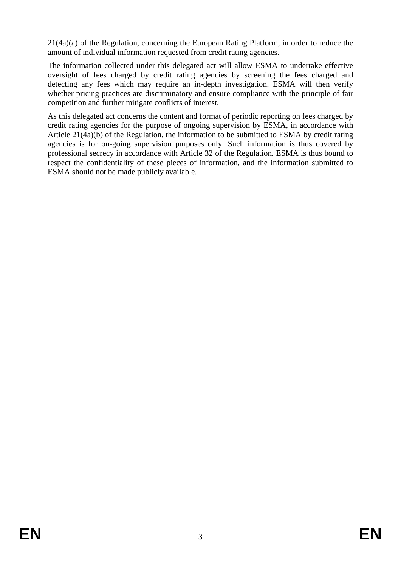21(4a)(a) of the Regulation, concerning the European Rating Platform, in order to reduce the amount of individual information requested from credit rating agencies.

The information collected under this delegated act will allow ESMA to undertake effective oversight of fees charged by credit rating agencies by screening the fees charged and detecting any fees which may require an in-depth investigation. ESMA will then verify whether pricing practices are discriminatory and ensure compliance with the principle of fair competition and further mitigate conflicts of interest.

As this delegated act concerns the content and format of periodic reporting on fees charged by credit rating agencies for the purpose of ongoing supervision by ESMA, in accordance with Article 21(4a)(b) of the Regulation, the information to be submitted to ESMA by credit rating agencies is for on-going supervision purposes only. Such information is thus covered by professional secrecy in accordance with Article 32 of the Regulation. ESMA is thus bound to respect the confidentiality of these pieces of information, and the information submitted to ESMA should not be made publicly available.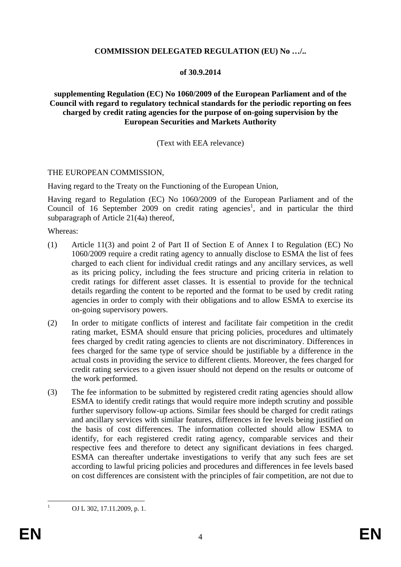#### **COMMISSION DELEGATED REGULATION (EU) No …/..**

#### **of 30.9.2014**

#### **supplementing Regulation (EC) No 1060/2009 of the European Parliament and of the Council with regard to regulatory technical standards for the periodic reporting on fees charged by credit rating agencies for the purpose of on-going supervision by the European Securities and Markets Authority**

#### (Text with EEA relevance)

#### THE EUROPEAN COMMISSION,

Having regard to the Treaty on the Functioning of the European Union,

Having regard to Regulation (EC) No 1060/2009 of the European Parliament and of the Council of 16 September 2009 on credit rating agencies<sup>1</sup>, and in particular the third subparagraph of Article 21(4a) thereof,

Whereas:

- (1) Article 11(3) and point 2 of Part II of Section E of Annex I to Regulation (EC) No 1060/2009 require a credit rating agency to annually disclose to ESMA the list of fees charged to each client for individual credit ratings and any ancillary services, as well as its pricing policy, including the fees structure and pricing criteria in relation to credit ratings for different asset classes. It is essential to provide for the technical details regarding the content to be reported and the format to be used by credit rating agencies in order to comply with their obligations and to allow ESMA to exercise its on-going supervisory powers.
- (2) In order to mitigate conflicts of interest and facilitate fair competition in the credit rating market, ESMA should ensure that pricing policies, procedures and ultimately fees charged by credit rating agencies to clients are not discriminatory. Differences in fees charged for the same type of service should be justifiable by a difference in the actual costs in providing the service to different clients. Moreover, the fees charged for credit rating services to a given issuer should not depend on the results or outcome of the work performed.
- (3) The fee information to be submitted by registered credit rating agencies should allow ESMA to identify credit ratings that would require more indepth scrutiny and possible further supervisory follow-up actions. Similar fees should be charged for credit ratings and ancillary services with similar features, differences in fee levels being justified on the basis of cost differences. The information collected should allow ESMA to identify, for each registered credit rating agency, comparable services and their respective fees and therefore to detect any significant deviations in fees charged. ESMA can thereafter undertake investigations to verify that any such fees are set according to lawful pricing policies and procedures and differences in fee levels based on cost differences are consistent with the principles of fair competition, are not due to

OJ L 302, 17.11.2009, p. 1.

 $\frac{1}{1}$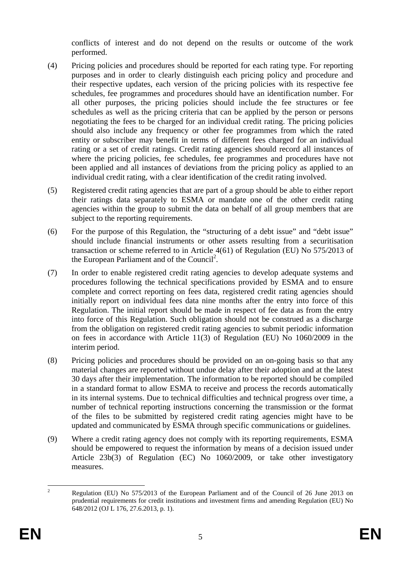conflicts of interest and do not depend on the results or outcome of the work performed.

- (4) Pricing policies and procedures should be reported for each rating type. For reporting purposes and in order to clearly distinguish each pricing policy and procedure and their respective updates, each version of the pricing policies with its respective fee schedules, fee programmes and procedures should have an identification number. For all other purposes, the pricing policies should include the fee structures or fee schedules as well as the pricing criteria that can be applied by the person or persons negotiating the fees to be charged for an individual credit rating. The pricing policies should also include any frequency or other fee programmes from which the rated entity or subscriber may benefit in terms of different fees charged for an individual rating or a set of credit ratings. Credit rating agencies should record all instances of where the pricing policies, fee schedules, fee programmes and procedures have not been applied and all instances of deviations from the pricing policy as applied to an individual credit rating, with a clear identification of the credit rating involved.
- (5) Registered credit rating agencies that are part of a group should be able to either report their ratings data separately to ESMA or mandate one of the other credit rating agencies within the group to submit the data on behalf of all group members that are subject to the reporting requirements.
- (6) For the purpose of this Regulation, the "structuring of a debt issue" and "debt issue" should include financial instruments or other assets resulting from a securitisation transaction or scheme referred to in Article 4(61) of Regulation (EU) No 575/2013 of the European Parliament and of the Council<sup>2</sup>.
- (7) In order to enable registered credit rating agencies to develop adequate systems and procedures following the technical specifications provided by ESMA and to ensure complete and correct reporting on fees data, registered credit rating agencies should initially report on individual fees data nine months after the entry into force of this Regulation. The initial report should be made in respect of fee data as from the entry into force of this Regulation. Such obligation should not be construed as a discharge from the obligation on registered credit rating agencies to submit periodic information on fees in accordance with Article 11(3) of Regulation (EU) No 1060/2009 in the interim period.
- (8) Pricing policies and procedures should be provided on an on-going basis so that any material changes are reported without undue delay after their adoption and at the latest 30 days after their implementation. The information to be reported should be compiled in a standard format to allow ESMA to receive and process the records automatically in its internal systems. Due to technical difficulties and technical progress over time, a number of technical reporting instructions concerning the transmission or the format of the files to be submitted by registered credit rating agencies might have to be updated and communicated by ESMA through specific communications or guidelines.
- (9) Where a credit rating agency does not comply with its reporting requirements, ESMA should be empowered to request the information by means of a decision issued under Article 23b(3) of Regulation (EC) No 1060/2009, or take other investigatory measures.

 $\frac{1}{2}$  Regulation (EU) No 575/2013 of the European Parliament and of the Council of 26 June 2013 on prudential requirements for credit institutions and investment firms and amending Regulation (EU) No 648/2012 (OJ L 176, 27.6.2013, p. 1).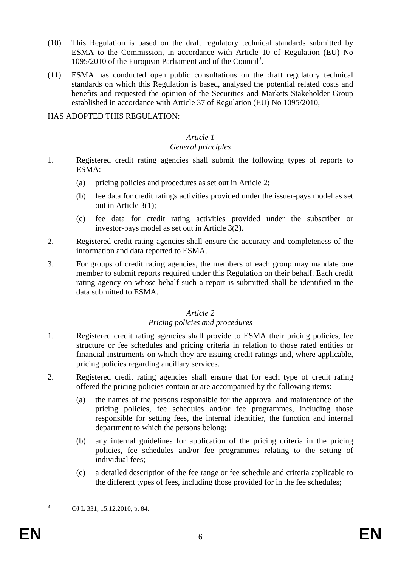- (10) This Regulation is based on the draft regulatory technical standards submitted by ESMA to the Commission, in accordance with Article 10 of Regulation (EU) No 1095/2010 of the European Parliament and of the Council<sup>3</sup>.
- (11) ESMA has conducted open public consultations on the draft regulatory technical standards on which this Regulation is based, analysed the potential related costs and benefits and requested the opinion of the Securities and Markets Stakeholder Group established in accordance with Article 37 of Regulation (EU) No 1095/2010,

#### HAS ADOPTED THIS REGULATION:

#### *Article 1*

#### *General principles*

- 1. Registered credit rating agencies shall submit the following types of reports to ESMA:
	- (a) pricing policies and procedures as set out in Article 2;
	- (b) fee data for credit ratings activities provided under the issuer-pays model as set out in Article 3(1);
	- (c) fee data for credit rating activities provided under the subscriber or investor-pays model as set out in Article 3(2).
- 2. Registered credit rating agencies shall ensure the accuracy and completeness of the information and data reported to ESMA.
- 3. For groups of credit rating agencies, the members of each group may mandate one member to submit reports required under this Regulation on their behalf. Each credit rating agency on whose behalf such a report is submitted shall be identified in the data submitted to ESMA.

#### *Article 2*

### *Pricing policies and procedures*

- 1. Registered credit rating agencies shall provide to ESMA their pricing policies, fee structure or fee schedules and pricing criteria in relation to those rated entities or financial instruments on which they are issuing credit ratings and, where applicable, pricing policies regarding ancillary services.
- 2. Registered credit rating agencies shall ensure that for each type of credit rating offered the pricing policies contain or are accompanied by the following items:
	- (a) the names of the persons responsible for the approval and maintenance of the pricing policies, fee schedules and/or fee programmes, including those responsible for setting fees, the internal identifier, the function and internal department to which the persons belong;
	- (b) any internal guidelines for application of the pricing criteria in the pricing policies, fee schedules and/or fee programmes relating to the setting of individual fees;
	- (c) a detailed description of the fee range or fee schedule and criteria applicable to the different types of fees, including those provided for in the fee schedules;

 $\frac{1}{3}$ 

OJ L 331, 15.12.2010, p. 84.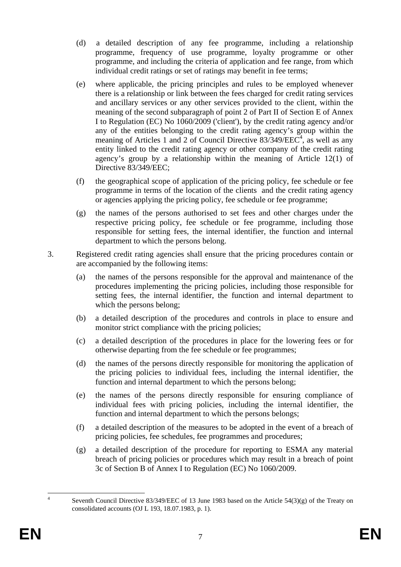- (d) a detailed description of any fee programme, including a relationship programme, frequency of use programme, loyalty programme or other programme, and including the criteria of application and fee range, from which individual credit ratings or set of ratings may benefit in fee terms;
- (e) where applicable, the pricing principles and rules to be employed whenever there is a relationship or link between the fees charged for credit rating services and ancillary services or any other services provided to the client, within the meaning of the second subparagraph of point 2 of Part II of Section E of Annex I to Regulation (EC) No 1060/2009 ('client'), by the credit rating agency and/or any of the entities belonging to the credit rating agency's group within the meaning of Articles 1 and 2 of Council Directive  $83/349/EEC^4$ , as well as any entity linked to the credit rating agency or other company of the credit rating agency's group by a relationship within the meaning of Article 12(1) of Directive 83/349/EEC;
- (f) the geographical scope of application of the pricing policy, fee schedule or fee programme in terms of the location of the clients and the credit rating agency or agencies applying the pricing policy, fee schedule or fee programme;
- (g) the names of the persons authorised to set fees and other charges under the respective pricing policy, fee schedule or fee programme, including those responsible for setting fees, the internal identifier, the function and internal department to which the persons belong.
- 3. Registered credit rating agencies shall ensure that the pricing procedures contain or are accompanied by the following items:
	- (a) the names of the persons responsible for the approval and maintenance of the procedures implementing the pricing policies, including those responsible for setting fees, the internal identifier, the function and internal department to which the persons belong;
	- (b) a detailed description of the procedures and controls in place to ensure and monitor strict compliance with the pricing policies;
	- (c) a detailed description of the procedures in place for the lowering fees or for otherwise departing from the fee schedule or fee programmes;
	- (d) the names of the persons directly responsible for monitoring the application of the pricing policies to individual fees, including the internal identifier, the function and internal department to which the persons belong;
	- (e) the names of the persons directly responsible for ensuring compliance of individual fees with pricing policies, including the internal identifier, the function and internal department to which the persons belongs;
	- (f) a detailed description of the measures to be adopted in the event of a breach of pricing policies, fee schedules, fee programmes and procedures;
	- (g) a detailed description of the procedure for reporting to ESMA any material breach of pricing policies or procedures which may result in a breach of point 3c of Section B of Annex I to Regulation (EC) No 1060/2009.

 $\frac{1}{4}$ 

Seventh Council Directive 83/349/EEC of 13 June 1983 based on the Article  $54(3)(g)$  of the Treaty on consolidated accounts (OJ L 193, 18.07.1983, p. 1).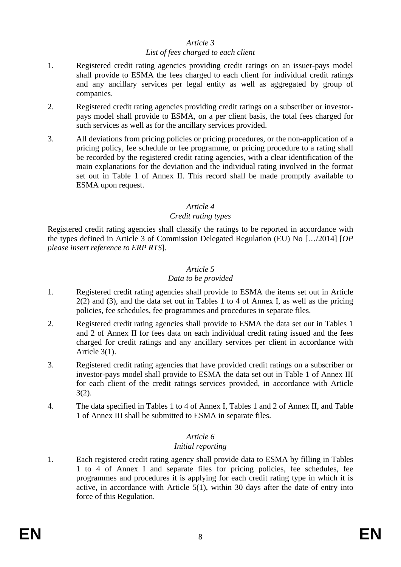#### *Article 3*

#### *List of fees charged to each client*

- 1. Registered credit rating agencies providing credit ratings on an issuer-pays model shall provide to ESMA the fees charged to each client for individual credit ratings and any ancillary services per legal entity as well as aggregated by group of companies.
- 2. Registered credit rating agencies providing credit ratings on a subscriber or investorpays model shall provide to ESMA, on a per client basis, the total fees charged for such services as well as for the ancillary services provided.
- 3. All deviations from pricing policies or pricing procedures, or the non-application of a pricing policy, fee schedule or fee programme, or pricing procedure to a rating shall be recorded by the registered credit rating agencies, with a clear identification of the main explanations for the deviation and the individual rating involved in the format set out in Table 1 of Annex II. This record shall be made promptly available to ESMA upon request.

#### *Article 4*

#### *Credit rating types*

Registered credit rating agencies shall classify the ratings to be reported in accordance with the types defined in Article 3 of Commission Delegated Regulation (EU) No […/2014] [*OP please insert reference to ERP RTS*].

#### *Article 5*

#### *Data to be provided*

- 1. Registered credit rating agencies shall provide to ESMA the items set out in Article 2(2) and (3), and the data set out in Tables 1 to 4 of Annex I, as well as the pricing policies, fee schedules, fee programmes and procedures in separate files.
- 2. Registered credit rating agencies shall provide to ESMA the data set out in Tables 1 and 2 of Annex II for fees data on each individual credit rating issued and the fees charged for credit ratings and any ancillary services per client in accordance with Article 3(1).
- 3. Registered credit rating agencies that have provided credit ratings on a subscriber or investor-pays model shall provide to ESMA the data set out in Table 1 of Annex III for each client of the credit ratings services provided, in accordance with Article 3(2).
- 4. The data specified in Tables 1 to 4 of Annex I, Tables 1 and 2 of Annex II, and Table 1 of Annex III shall be submitted to ESMA in separate files.

# *Article 6*

## *Initial reporting*

1. Each registered credit rating agency shall provide data to ESMA by filling in Tables 1 to 4 of Annex I and separate files for pricing policies, fee schedules, fee programmes and procedures it is applying for each credit rating type in which it is active, in accordance with Article 5(1), within 30 days after the date of entry into force of this Regulation.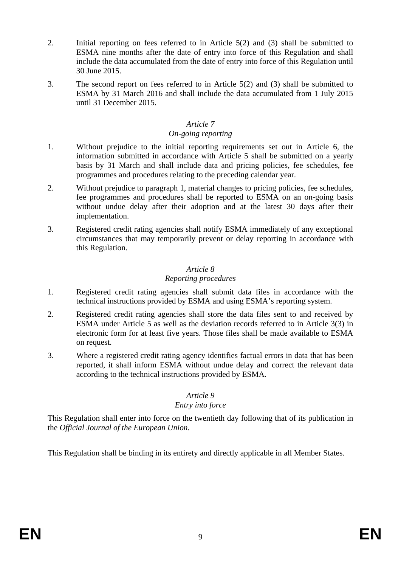- 2. Initial reporting on fees referred to in Article 5(2) and (3) shall be submitted to ESMA nine months after the date of entry into force of this Regulation and shall include the data accumulated from the date of entry into force of this Regulation until 30 June 2015.
- 3. The second report on fees referred to in Article 5(2) and (3) shall be submitted to ESMA by 31 March 2016 and shall include the data accumulated from 1 July 2015 until 31 December 2015.

## *Article 7*

# *On-going reporting*

- 1. Without prejudice to the initial reporting requirements set out in Article 6, the information submitted in accordance with Article 5 shall be submitted on a yearly basis by 31 March and shall include data and pricing policies, fee schedules, fee programmes and procedures relating to the preceding calendar year.
- 2. Without prejudice to paragraph 1, material changes to pricing policies, fee schedules, fee programmes and procedures shall be reported to ESMA on an on-going basis without undue delay after their adoption and at the latest 30 days after their implementation.
- 3. Registered credit rating agencies shall notify ESMA immediately of any exceptional circumstances that may temporarily prevent or delay reporting in accordance with this Regulation.

## *Article 8*

## *Reporting procedures*

- 1. Registered credit rating agencies shall submit data files in accordance with the technical instructions provided by ESMA and using ESMA's reporting system.
- 2. Registered credit rating agencies shall store the data files sent to and received by ESMA under Article 5 as well as the deviation records referred to in Article 3(3) in electronic form for at least five years. Those files shall be made available to ESMA on request.
- 3. Where a registered credit rating agency identifies factual errors in data that has been reported, it shall inform ESMA without undue delay and correct the relevant data according to the technical instructions provided by ESMA.

## *Article 9*

## *Entry into force*

This Regulation shall enter into force on the twentieth day following that of its publication in the *Official Journal of the European Union*.

This Regulation shall be binding in its entirety and directly applicable in all Member States.